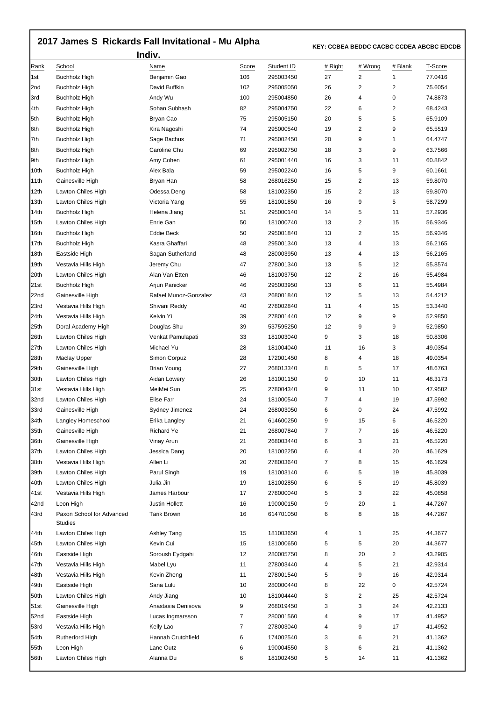## **2017 James S Rickards Fall Invitational - Mu Alpha**

 **KEY: CCBEA BEDDC CACBC CCDEA ABCBC EDCDB** 

| Indiv. |                                      |                       |       |            |                |         |                         |         |  |  |
|--------|--------------------------------------|-----------------------|-------|------------|----------------|---------|-------------------------|---------|--|--|
| Rank   | School                               | Name                  | Score | Student ID | # Right        | # Wrong | # Blank                 | T-Score |  |  |
| 1st    | <b>Buchholz High</b>                 | Benjamin Gao          | 106   | 295003450  | 27             | 2       | 1                       | 77.0416 |  |  |
| 2nd    | <b>Buchholz High</b>                 | David Buffkin         | 102   | 295005050  | 26             | 2       | 2                       | 75.6054 |  |  |
| 3rd    | Buchholz High                        | Andy Wu               | 100   | 295004850  | 26             | 4       | 0                       | 74.8873 |  |  |
| 4th    | Buchholz High                        | Sohan Subhash         | 82    | 295004750  | 22             | 6       | $\overline{\mathbf{c}}$ | 68.4243 |  |  |
| 5th    | Buchholz High                        | Bryan Cao             | 75    | 295005150  | 20             | 5       | 5                       | 65.9109 |  |  |
| 6th    | Buchholz High                        | Kira Nagoshi          | 74    | 295000540  | 19             | 2       | 9                       | 65.5519 |  |  |
| 7th    | <b>Buchholz High</b>                 | Sage Bachus           | 71    | 295002450  | 20             | 9       | 1                       | 64.4747 |  |  |
| 8th    | Buchholz High                        | Caroline Chu          | 69    | 295002750  | 18             | 3       | 9                       | 63.7566 |  |  |
| 9th    | Buchholz High                        | Amy Cohen             | 61    | 295001440  | 16             | 3       | 11                      | 60.8842 |  |  |
| 10th   | Buchholz High                        | Alex Bala             | 59    | 295002240  | 16             | 5       | 9                       | 60.1661 |  |  |
| 11th   | Gainesville High                     | Bryan Han             | 58    | 268016250  | 15             | 2       | 13                      | 59.8070 |  |  |
| 12th   | Lawton Chiles High                   | Odessa Deng           | 58    | 181002350  | 15             | 2       | 13                      | 59.8070 |  |  |
| 13th   | Lawton Chiles High                   | Victoria Yang         | 55    | 181001850  | 16             | 9       | 5                       | 58.7299 |  |  |
| 14th   | Buchholz High                        | Helena Jiang          | 51    | 295000140  | 14             | 5       | 11                      | 57.2936 |  |  |
| 15th   | Lawton Chiles High                   | Enrie Gan             | 50    | 181000740  | 13             | 2       | 15                      | 56.9346 |  |  |
| 16th   | Buchholz High                        | <b>Eddie Beck</b>     | 50    | 295001840  | 13             | 2       | 15                      | 56.9346 |  |  |
| 17th   | <b>Buchholz High</b>                 | Kasra Ghaffari        | 48    | 295001340  | 13             | 4       | 13                      | 56.2165 |  |  |
| 18th   | Eastside High                        | Sagan Sutherland      | 48    | 280003950  | 13             | 4       | 13                      | 56.2165 |  |  |
| 19th   | Vestavia Hills High                  | Jeremy Chu            | 47    | 278001340  | 13             | 5       | 12                      | 55.8574 |  |  |
| 20th   | Lawton Chiles High                   | Alan Van Etten        | 46    | 181003750  | 12             | 2       | 16                      | 55.4984 |  |  |
| 21st   | Buchholz High                        | Arjun Panicker        | 46    | 295003950  | 13             | 6       | 11                      | 55.4984 |  |  |
| 22nd   | Gainesville High                     | Rafael Munoz-Gonzalez | 43    | 268001840  | 12             | 5       | 13                      | 54.4212 |  |  |
| 23rd   | Vestavia Hills High                  | Shivani Reddy         | 40    | 278002840  | 11             | 4       | 15                      | 53.3440 |  |  |
| 24th   | Vestavia Hills High                  | Kelvin Yi             | 39    | 278001440  | 12             | 9       | 9                       | 52.9850 |  |  |
| 25th   | Doral Academy High                   | Douglas Shu           | 39    | 537595250  | 12             | 9       | 9                       | 52.9850 |  |  |
| 26th   | Lawton Chiles High                   | Venkat Pamulapati     | 33    | 181003040  | 9              | 3       | 18                      | 50.8306 |  |  |
| 27th   | Lawton Chiles High                   | Michael Yu            | 28    | 181004040  | 11             | 16      | 3                       | 49.0354 |  |  |
| 28th   | <b>Maclay Upper</b>                  | Simon Corpuz          | 28    | 172001450  | 8              | 4       | 18                      | 49.0354 |  |  |
| 29th   | Gainesville High                     | Brian Young           | 27    | 268013340  | 8              | 5       | 17                      | 48.6763 |  |  |
| 30th   | Lawton Chiles High                   | Aidan Lowery          | 26    | 181001150  | 9              | 10      | 11                      | 48.3173 |  |  |
| 31st   | Vestavia Hills High                  | MeiMei Sun            | 25    | 278004340  | 9              | 11      | 10                      | 47.9582 |  |  |
| 32nd   | Lawton Chiles High                   | Elise Farr            | 24    | 181000540  | $\overline{7}$ | 4       | 19                      | 47.5992 |  |  |
| 33rd   | Gainesville High                     | Sydney Jimenez        | 24    | 268003050  | 6              | 0       | 24                      | 47.5992 |  |  |
| 34th   | Langley Homeschool                   | Erika Langley         | 21    | 614600250  | 9              | 15      | 6                       | 46.5220 |  |  |
| 35th   | Gainesville High                     | Richard Ye            | 21    | 268007840  | $\overline{7}$ | 7       | 16                      | 46.5220 |  |  |
| 36th   | Gainesville High                     | Vinay Arun            | 21    | 268003440  | 6              | 3       | 21                      | 46.5220 |  |  |
| 37th   | Lawton Chiles High                   | Jessica Dang          | 20    | 181002250  | 6              | 4       | 20                      | 46.1629 |  |  |
| 38th   | Vestavia Hills High                  | Allen Li              | 20    | 278003640  | $\overline{7}$ | 8       | 15                      | 46.1629 |  |  |
| 39th   | Lawton Chiles High                   | Parul Singh           | 19    | 181003140  | 6              | 5       | 19                      | 45.8039 |  |  |
| 40th   | Lawton Chiles High                   | Julia Jin             | 19    | 181002850  | 6              | 5       | 19                      | 45.8039 |  |  |
| 41st   | Vestavia Hills High                  | James Harbour         | 17    | 278000040  | 5              | 3       | 22                      | 45.0858 |  |  |
| 42nd   | Leon High                            | Justin Hollett        | 16    | 190000150  | 9              | 20      | $\mathbf{1}$            | 44.7267 |  |  |
| 43rd   | Paxon School for Advanced<br>Studies | <b>Tarik Brown</b>    | 16    | 614701050  | 6              | 8       | 16                      | 44.7267 |  |  |
| 44th   | Lawton Chiles High                   | Ashley Tang           | 15    | 181003650  | 4              | 1       | 25                      | 44.3677 |  |  |
| 45th   | Lawton Chiles High                   | Kevin Cui             | 15    | 181000650  | 5              | 5       | 20                      | 44.3677 |  |  |
| 46th   | Eastside High                        | Soroush Eydgahi       | 12    | 280005750  | 8              | 20      | $\overline{2}$          | 43.2905 |  |  |
| 47th   | Vestavia Hills High                  | Mabel Lyu             | 11    | 278003440  | 4              | 5       | 21                      | 42.9314 |  |  |
| 48th   | Vestavia Hills High                  | Kevin Zheng           | 11    | 278001540  | 5              | 9       | 16                      | 42.9314 |  |  |
| 49th   | Eastside High                        | Sana Lulu             | 10    | 280000440  | 8              | 22      | 0                       | 42.5724 |  |  |
| 50th   | Lawton Chiles High                   | Andy Jiang            | 10    | 181004440  | 3              | 2       | 25                      | 42.5724 |  |  |
| 51st   | Gainesville High                     | Anastasia Denisova    | 9     | 268019450  | 3              | 3       | 24                      | 42.2133 |  |  |
| 52nd   | Eastside High                        | Lucas Ingmarsson      | 7     | 280001560  | 4              | 9       | 17                      | 41.4952 |  |  |
| 53rd   | Vestavia Hills High                  | Kelly Lao             | 7     | 278003040  | 4              | 9       | 17                      | 41.4952 |  |  |
| 54th   | Rutherford High                      | Hannah Crutchfield    | 6     | 174002540  | 3              | 6       | 21                      | 41.1362 |  |  |
| 55th   | Leon High                            | Lane Outz             | 6     | 190004550  | 3              | 6       | 21                      | 41.1362 |  |  |
| 56th   | Lawton Chiles High                   | Alanna Du             | 6     | 181002450  | 5              | 14      | 11                      | 41.1362 |  |  |
|        |                                      |                       |       |            |                |         |                         |         |  |  |